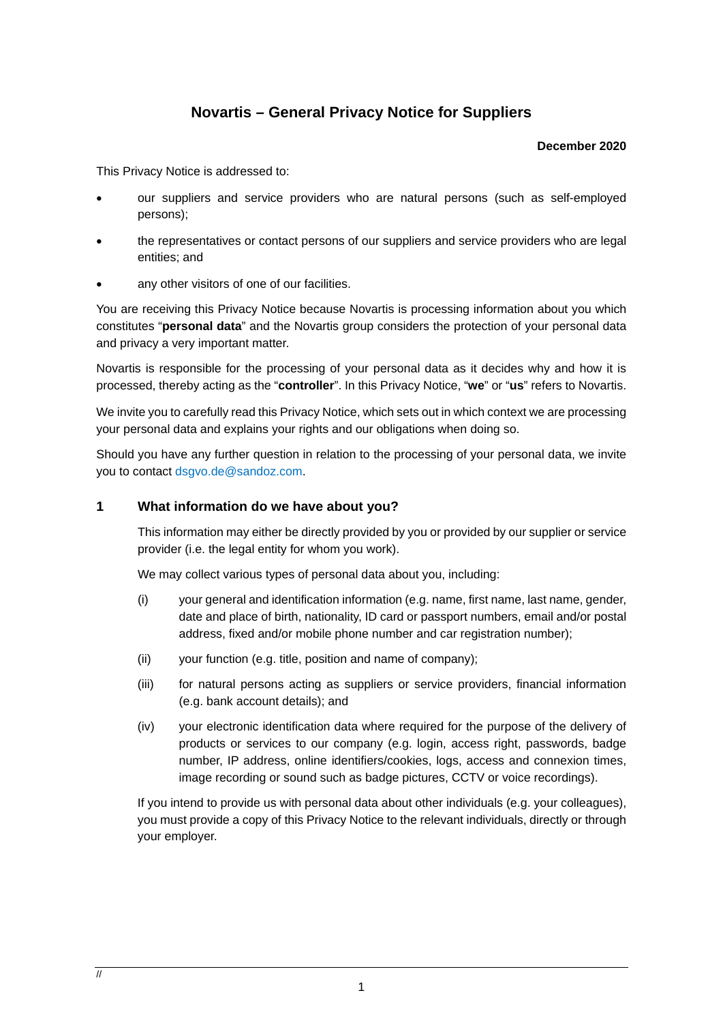# **Novartis – General Privacy Notice for Suppliers**

#### **December 2020**

This Privacy Notice is addressed to:

- our suppliers and service providers who are natural persons (such as self-employed persons);
- the representatives or contact persons of our suppliers and service providers who are legal entities; and
- any other visitors of one of our facilities.

You are receiving this Privacy Notice because Novartis is processing information about you which constitutes "**personal data**" and the Novartis group considers the protection of your personal data and privacy a very important matter.

Novartis is responsible for the processing of your personal data as it decides why and how it is processed, thereby acting as the "**controller**". In this Privacy Notice, "**we**" or "**us**" refers to Novartis.

We invite you to carefully read this Privacy Notice, which sets out in which context we are processing your personal data and explains your rights and our obligations when doing so.

Should you have any further question in relation to the processing of your personal data, we invite you to contact [dsgvo.de@sandoz.com.](mailto:dsgvo.de@sandoz.com)

## **1 What information do we have about you?**

This information may either be directly provided by you or provided by our supplier or service provider (i.e. the legal entity for whom you work).

We may collect various types of personal data about you, including:

- (i) your general and identification information (e.g. name, first name, last name, gender, date and place of birth, nationality, ID card or passport numbers, email and/or postal address, fixed and/or mobile phone number and car registration number);
- (ii) your function (e.g. title, position and name of company);
- (iii) for natural persons acting as suppliers or service providers, financial information (e.g. bank account details); and
- (iv) your electronic identification data where required for the purpose of the delivery of products or services to our company (e.g. login, access right, passwords, badge number, IP address, online identifiers/cookies, logs, access and connexion times, image recording or sound such as badge pictures, CCTV or voice recordings).

If you intend to provide us with personal data about other individuals (e.g. your colleagues), you must provide a copy of this Privacy Notice to the relevant individuals, directly or through your employer.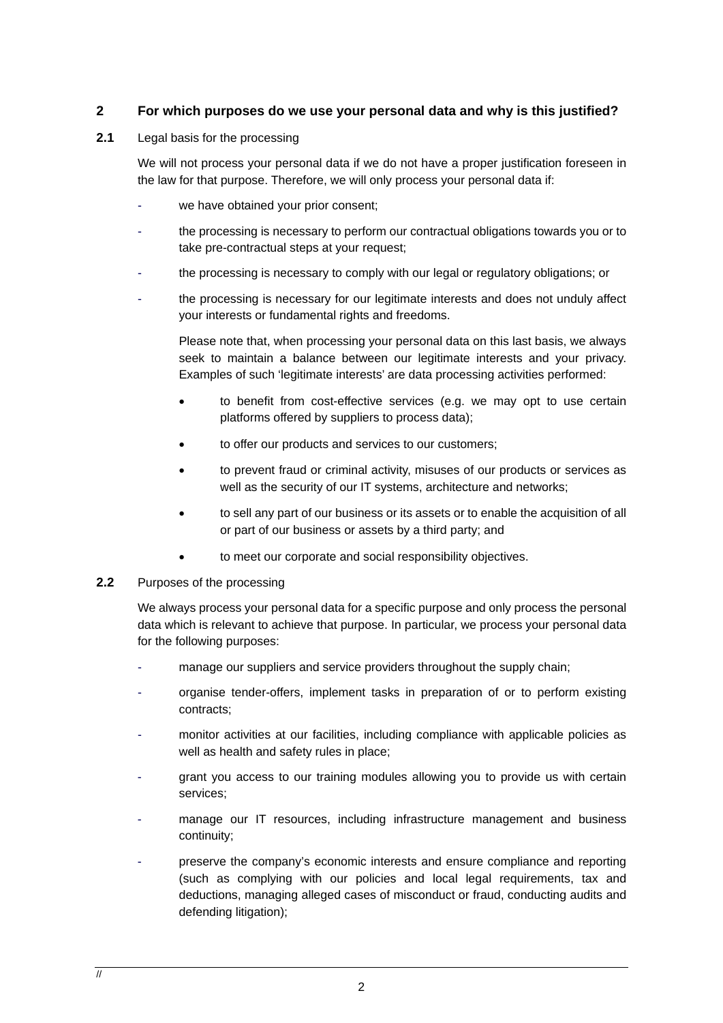## **2 For which purposes do we use your personal data and why is this justified?**

**2.1** Legal basis for the processing

We will not process your personal data if we do not have a proper justification foreseen in the law for that purpose. Therefore, we will only process your personal data if:

- we have obtained your prior consent;
- the processing is necessary to perform our contractual obligations towards you or to take pre-contractual steps at your request;
- the processing is necessary to comply with our legal or regulatory obligations; or
- the processing is necessary for our legitimate interests and does not unduly affect your interests or fundamental rights and freedoms.

Please note that, when processing your personal data on this last basis, we always seek to maintain a balance between our legitimate interests and your privacy. Examples of such 'legitimate interests' are data processing activities performed:

- to benefit from cost-effective services (e.g. we may opt to use certain platforms offered by suppliers to process data);
- to offer our products and services to our customers;
- to prevent fraud or criminal activity, misuses of our products or services as well as the security of our IT systems, architecture and networks;
- to sell any part of our business or its assets or to enable the acquisition of all or part of our business or assets by a third party; and
- to meet our corporate and social responsibility objectives.
- **2.2** Purposes of the processing

We always process your personal data for a specific purpose and only process the personal data which is relevant to achieve that purpose. In particular, we process your personal data for the following purposes:

- manage our suppliers and service providers throughout the supply chain;
- organise tender-offers, implement tasks in preparation of or to perform existing contracts;
- monitor activities at our facilities, including compliance with applicable policies as well as health and safety rules in place;
- grant you access to our training modules allowing you to provide us with certain services;
- manage our IT resources, including infrastructure management and business continuity;
- preserve the company's economic interests and ensure compliance and reporting (such as complying with our policies and local legal requirements, tax and deductions, managing alleged cases of misconduct or fraud, conducting audits and defending litigation);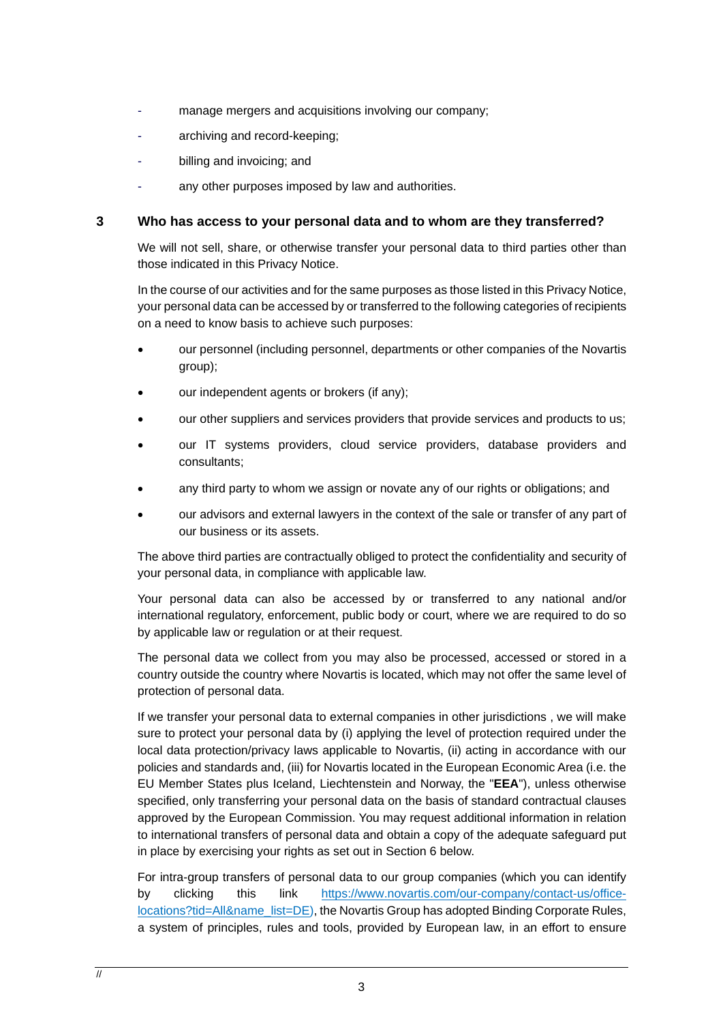- manage mergers and acquisitions involving our company;
- archiving and record-keeping;
- billing and invoicing; and
- any other purposes imposed by law and authorities.

### **3 Who has access to your personal data and to whom are they transferred?**

We will not sell, share, or otherwise transfer your personal data to third parties other than those indicated in this Privacy Notice.

In the course of our activities and for the same purposes as those listed in this Privacy Notice, your personal data can be accessed by or transferred to the following categories of recipients on a need to know basis to achieve such purposes:

- our personnel (including personnel, departments or other companies of the Novartis group);
- our independent agents or brokers (if any);
- our other suppliers and services providers that provide services and products to us;
- our IT systems providers, cloud service providers, database providers and consultants;
- any third party to whom we assign or novate any of our rights or obligations; and
- our advisors and external lawyers in the context of the sale or transfer of any part of our business or its assets.

The above third parties are contractually obliged to protect the confidentiality and security of your personal data, in compliance with applicable law.

Your personal data can also be accessed by or transferred to any national and/or international regulatory, enforcement, public body or court, where we are required to do so by applicable law or regulation or at their request.

The personal data we collect from you may also be processed, accessed or stored in a country outside the country where Novartis is located, which may not offer the same level of protection of personal data.

If we transfer your personal data to external companies in other jurisdictions , we will make sure to protect your personal data by (i) applying the level of protection required under the local data protection/privacy laws applicable to Novartis, (ii) acting in accordance with our policies and standards and, (iii) for Novartis located in the European Economic Area (i.e. the EU Member States plus Iceland, Liechtenstein and Norway, the "**EEA**"), unless otherwise specified, only transferring your personal data on the basis of standard contractual clauses approved by the European Commission. You may request additional information in relation to international transfers of personal data and obtain a copy of the adequate safeguard put in place by exercising your rights as set out in Section [6](#page-3-0) below.

For intra-group transfers of personal data to our group companies (which you can identify by clicking this link [https://www.novartis.com/our-company/contact-us/office](https://www.novartis.com/our-company/contact-us/office-locations?tid=All&name_list=DE)[locations?tid=All&name\\_list=DE\)](https://www.novartis.com/our-company/contact-us/office-locations?tid=All&name_list=DE), the Novartis Group has adopted Binding Corporate Rules, a system of principles, rules and tools, provided by European law, in an effort to ensure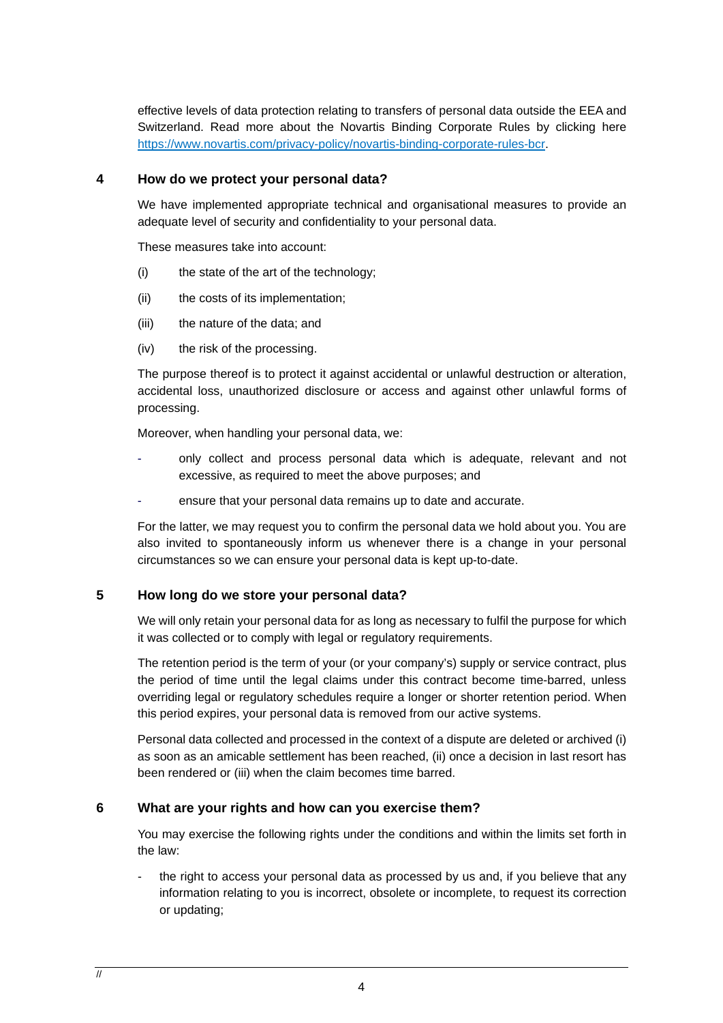effective levels of data protection relating to transfers of personal data outside the EEA and Switzerland. Read more about the Novartis Binding Corporate Rules by clicking here [https://www.novartis.com/privacy-policy/novartis-binding-corporate-rules-bcr.](https://www.novartis.com/privacy-policy/novartis-binding-corporate-rules-bcr)

#### **4 How do we protect your personal data?**

We have implemented appropriate technical and organisational measures to provide an adequate level of security and confidentiality to your personal data.

These measures take into account:

- (i) the state of the art of the technology;
- (ii) the costs of its implementation;
- (iii) the nature of the data; and
- (iv) the risk of the processing.

The purpose thereof is to protect it against accidental or unlawful destruction or alteration, accidental loss, unauthorized disclosure or access and against other unlawful forms of processing.

Moreover, when handling your personal data, we:

- only collect and process personal data which is adequate, relevant and not excessive, as required to meet the above purposes; and
- ensure that your personal data remains up to date and accurate.

For the latter, we may request you to confirm the personal data we hold about you. You are also invited to spontaneously inform us whenever there is a change in your personal circumstances so we can ensure your personal data is kept up-to-date.

## **5 How long do we store your personal data?**

We will only retain your personal data for as long as necessary to fulfil the purpose for which it was collected or to comply with legal or regulatory requirements.

The retention period is the term of your (or your company's) supply or service contract, plus the period of time until the legal claims under this contract become time-barred, unless overriding legal or regulatory schedules require a longer or shorter retention period. When this period expires, your personal data is removed from our active systems.

Personal data collected and processed in the context of a dispute are deleted or archived (i) as soon as an amicable settlement has been reached, (ii) once a decision in last resort has been rendered or (iii) when the claim becomes time barred.

## <span id="page-3-0"></span>**6 What are your rights and how can you exercise them?**

You may exercise the following rights under the conditions and within the limits set forth in the law:

the right to access your personal data as processed by us and, if you believe that any information relating to you is incorrect, obsolete or incomplete, to request its correction or updating;